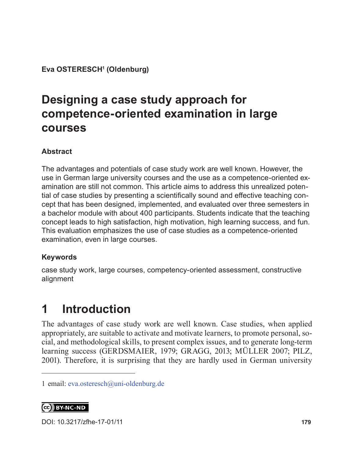**Eva OSTERESCH1 (Oldenburg)**

# **Designing a case study approach for competence-oriented examination in large courses**

#### **Abstract**

The advantages and potentials of case study work are well known. However, the use in German large university courses and the use as a competence-oriented examination are still not common. This article aims to address this unrealized potential of case studies by presenting a scientifically sound and effective teaching concept that has been designed, implemented, and evaluated over three semesters in a bachelor module with about 400 participants. Students indicate that the teaching concept leads to high satisfaction, high motivation, high learning success, and fun. This evaluation emphasizes the use of case studies as a competence-oriented examination, even in large courses.

#### **Keywords**

case study work, large courses, competency-oriented assessment, constructive alignment

# **1 Introduction**

The advantages of case study work are well known. Case studies, when applied appropriately, are suitable to activate and motivate learners, to promote personal, social, and methodological skills, to present complex issues, and to generate long-term learning success (GERDSMAIER, 1979; GRAGG, 2013; MÜLLER 2007; PILZ, 2001). Therefore, it is surprising that they are hardly used in German university

CC BY-NC-ND

DOI: [10.3217/zfhe-17-01/11](https://doi.org/10.3217/zfhe-17-01/11
) **179**

<sup>1</sup> email: [eva.osteresch@uni-oldenburg.de](mailto:eva.osteresch%40uni-oldenburg.de?subject=)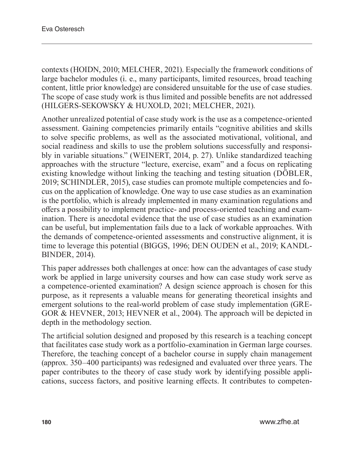contexts (HOIDN, 2010; MELCHER, 2021). Especially the framework conditions of large bachelor modules (i. e., many participants, limited resources, broad teaching content, little prior knowledge) are considered unsuitable for the use of case studies. The scope of case study work is thus limited and possible benefits are not addressed (HILGERS-SEKOWSKY & HUXOLD, 2021; MELCHER, 2021).

Another unrealized potential of case study work is the use as a competence-oriented assessment. Gaining competencies primarily entails "cognitive abilities and skills to solve specific problems, as well as the associated motivational, volitional, and social readiness and skills to use the problem solutions successfully and responsibly in variable situations." (WEINERT, 2014, p. 27). Unlike standardized teaching approaches with the structure "lecture, exercise, exam" and a focus on replicating existing knowledge without linking the teaching and testing situation (DÖBLER, 2019; SCHINDLER, 2015), case studies can promote multiple competencies and focus on the application of knowledge. One way to use case studies as an examination is the portfolio, which is already implemented in many examination regulations and offers a possibility to implement practice- and process-oriented teaching and examination. There is anecdotal evidence that the use of case studies as an examination can be useful, but implementation fails due to a lack of workable approaches. With the demands of competence-oriented assessments and constructive alignment, it is time to leverage this potential (BIGGS, 1996; DEN OUDEN et al., 2019; KANDL-BINDER, 2014).

This paper addresses both challenges at once: how can the advantages of case study work be applied in large university courses and how can case study work serve as a competence-oriented examination? A design science approach is chosen for this purpose, as it represents a valuable means for generating theoretical insights and emergent solutions to the real-world problem of case study implementation (GRE-GOR & HEVNER, 2013; HEVNER et al., 2004). The approach will be depicted in depth in the methodology section.

The artificial solution designed and proposed by this research is a teaching concept that facilitates case study work as a portfolio-examination in German large courses. Therefore, the teaching concept of a bachelor course in supply chain management (approx. 350–400 participants) was redesigned and evaluated over three years. The paper contributes to the theory of case study work by identifying possible applications, success factors, and positive learning effects. It contributes to competen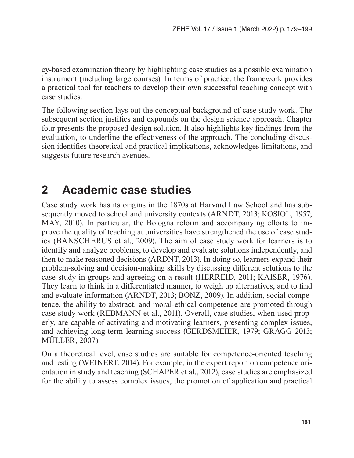cy-based examination theory by highlighting case studies as a possible examination instrument (including large courses). In terms of practice, the framework provides a practical tool for teachers to develop their own successful teaching concept with case studies.

The following section lays out the conceptual background of case study work. The subsequent section justifies and expounds on the design science approach. Chapter four presents the proposed design solution. It also highlights key findings from the evaluation, to underline the effectiveness of the approach. The concluding discussion identifies theoretical and practical implications, acknowledges limitations, and suggests future research avenues.

### **2 Academic case studies**

Case study work has its origins in the 1870s at Harvard Law School and has subsequently moved to school and university contexts (ARNDT, 2013; KOSIOL, 1957; MAY, 2010). In particular, the Bologna reform and accompanying efforts to improve the quality of teaching at universities have strengthened the use of case studies (BANSCHERUS et al., 2009). The aim of case study work for learners is to identify and analyze problems, to develop and evaluate solutions independently, and then to make reasoned decisions (ARDNT, 2013). In doing so, learners expand their problem-solving and decision-making skills by discussing different solutions to the case study in groups and agreeing on a result (HERREID, 2011; KAISER, 1976). They learn to think in a differentiated manner, to weigh up alternatives, and to find and evaluate information (ARNDT, 2013; BONZ, 2009). In addition, social competence, the ability to abstract, and moral-ethical competence are promoted through case study work (REBMANN et al., 2011). Overall, case studies, when used properly, are capable of activating and motivating learners, presenting complex issues, and achieving long-term learning success (GERDSMEIER, 1979; GRAGG 2013; MÜLLER, 2007).

On a theoretical level, case studies are suitable for competence-oriented teaching and testing (WEINERT, 2014). For example, in the expert report on competence orientation in study and teaching (SCHAPER et al., 2012), case studies are emphasized for the ability to assess complex issues, the promotion of application and practical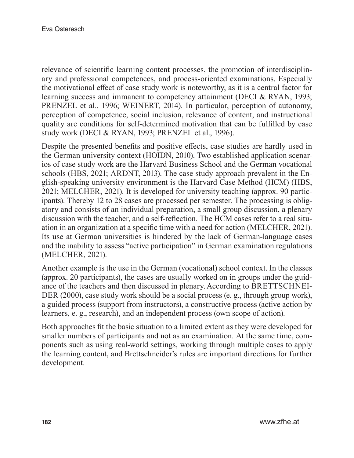relevance of scientific learning content processes, the promotion of interdisciplinary and professional competences, and process-oriented examinations. Especially the motivational effect of case study work is noteworthy, as it is a central factor for learning success and immanent to competency attainment (DECI & RYAN, 1993; PRENZEL et al., 1996; WEINERT, 2014). In particular, perception of autonomy, perception of competence, social inclusion, relevance of content, and instructional quality are conditions for self-determined motivation that can be fulfilled by case study work (DECI & RYAN, 1993; PRENZEL et al., 1996).

Despite the presented benefits and positive effects, case studies are hardly used in the German university context (HOIDN, 2010). Two established application scenarios of case study work are the Harvard Business School and the German vocational schools (HBS, 2021; ARDNT, 2013). The case study approach prevalent in the English-speaking university environment is the Harvard Case Method (HCM) (HBS, 2021; MELCHER, 2021). It is developed for university teaching (approx. 90 participants). Thereby 12 to 28 cases are processed per semester. The processing is obligatory and consists of an individual preparation, a small group discussion, a plenary discussion with the teacher, and a self-reflection. The HCM cases refer to a real situation in an organization at a specific time with a need for action (MELCHER, 2021). Its use at German universities is hindered by the lack of German-language cases and the inability to assess "active participation" in German examination regulations (MELCHER, 2021).

Another example is the use in the German (vocational) school context. In the classes (approx. 20 participants), the cases are usually worked on in groups under the guidance of the teachers and then discussed in plenary. According to BRETTSCHNEI-DER (2000), case study work should be a social process (e. g., through group work), a guided process (support from instructors), a constructive process (active action by learners, e. g., research), and an independent process (own scope of action).

Both approaches fit the basic situation to a limited extent as they were developed for smaller numbers of participants and not as an examination. At the same time, components such as using real-world settings, working through multiple cases to apply the learning content, and Brettschneider's rules are important directions for further development.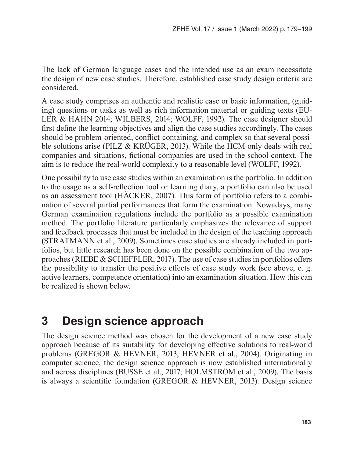The lack of German language cases and the intended use as an exam necessitate the design of new case studies. Therefore, established case study design criteria are considered.

A case study comprises an authentic and realistic case or basic information, (guiding) questions or tasks as well as rich information material or guiding texts (EU-LER & HAHN 2014; WILBERS, 2014; WOLFF, 1992). The case designer should first define the learning objectives and align the case studies accordingly. The cases should be problem-oriented, conflict-containing, and complex so that several possible solutions arise (PILZ & KRÜGER, 2013). While the HCM only deals with real companies and situations, fictional companies are used in the school context. The aim is to reduce the real-world complexity to a reasonable level (WOLFF, 1992).

One possibility to use case studies within an examination is the portfolio. In addition to the usage as a self-reflection tool or learning diary, a portfolio can also be used as an assessment tool (HÄCKER, 2007). This form of portfolio refers to a combination of several partial performances that form the examination. Nowadays, many German examination regulations include the portfolio as a possible examination method. The portfolio literature particularly emphasizes the relevance of support and feedback processes that must be included in the design of the teaching approach (STRATMANN et al., 2009). Sometimes case studies are already included in portfolios, but little research has been done on the possible combination of the two approaches (RIEBE & SCHEFFLER, 2017). The use of case studies in portfolios offers the possibility to transfer the positive effects of case study work (see above, e. g. active learners, competence orientation) into an examination situation. How this can be realized is shown below.

## **3 Design science approach**

The design science method was chosen for the development of a new case study approach because of its suitability for developing effective solutions to real-world problems (GREGOR & HEVNER, 2013; HEVNER et al., 2004). Originating in computer science, the design science approach is now established internationally and across disciplines (BUSSE et al., 2017; HOLMSTRÖM et al., 2009). The basis is always a scientific foundation (GREGOR & HEVNER, 2013). Design science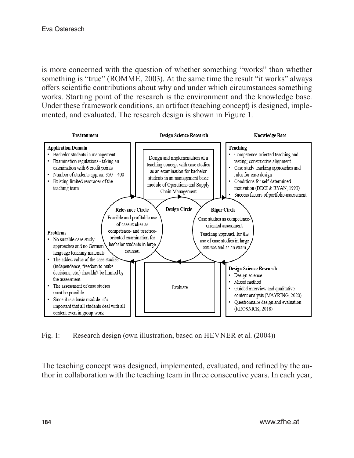is more concerned with the question of whether something "works" than whether something is "true" (ROMME, 2003). At the same time the result "it works" always offers scientific contributions about why and under which circumstances something works. Starting point of the research is the environment and the knowledge base. Under these framework conditions, an artifact (teaching concept) is designed, implemented, and evaluated. The research design is shown in Figure 1.



Fig. 1: Research design (own illustration, based on HEVNER et al. (2004))

The teaching concept was designed, implemented, evaluated, and refined by the author in collaboration with the teaching team in three consecutive years. In each year,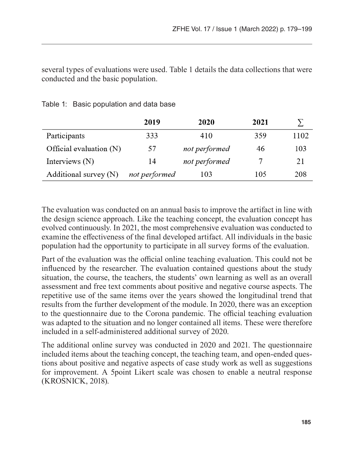several types of evaluations were used. Table 1 details the data collections that were conducted and the basic population.

|                           | 2019          | 2020          | 2021 |      |
|---------------------------|---------------|---------------|------|------|
| Participants              | 333           | 410           | 359  | 1102 |
| Official evaluation $(N)$ | 57            | not performed | 46   | 103  |
| Interviews (N)            | 14            | not performed |      | 21   |
| Additional survey (N)     | not performed | 103           | 105  | 208  |

Table 1: Basic population and data base

The evaluation was conducted on an annual basis to improve the artifact in line with the design science approach. Like the teaching concept, the evaluation concept has evolved continuously. In 2021, the most comprehensive evaluation was conducted to examine the effectiveness of the final developed artifact. All individuals in the basic population had the opportunity to participate in all survey forms of the evaluation.

Part of the evaluation was the official online teaching evaluation. This could not be influenced by the researcher. The evaluation contained questions about the study situation, the course, the teachers, the students' own learning as well as an overall assessment and free text comments about positive and negative course aspects. The repetitive use of the same items over the years showed the longitudinal trend that results from the further development of the module. In 2020, there was an exception to the questionnaire due to the Corona pandemic. The official teaching evaluation was adapted to the situation and no longer contained all items. These were therefore included in a self-administered additional survey of 2020.

The additional online survey was conducted in 2020 and 2021. The questionnaire included items about the teaching concept, the teaching team, and open-ended questions about positive and negative aspects of case study work as well as suggestions for improvement. A 5point Likert scale was chosen to enable a neutral response (KROSNICK, 2018).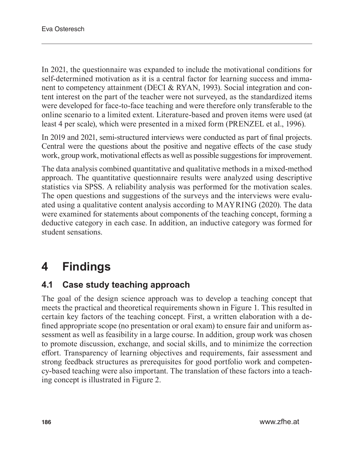In 2021, the questionnaire was expanded to include the motivational conditions for self-determined motivation as it is a central factor for learning success and immanent to competency attainment (DECI & RYAN, 1993). Social integration and content interest on the part of the teacher were not surveyed, as the standardized items were developed for face-to-face teaching and were therefore only transferable to the online scenario to a limited extent. Literature-based and proven items were used (at least 4 per scale), which were presented in a mixed form (PRENZEL et al., 1996).

In 2019 and 2021, semi-structured interviews were conducted as part of final projects. Central were the questions about the positive and negative effects of the case study work, group work, motivational effects as well as possible suggestions for improvement.

The data analysis combined quantitative and qualitative methods in a mixed-method approach. The quantitative questionnaire results were analyzed using descriptive statistics via SPSS. A reliability analysis was performed for the motivation scales. The open questions and suggestions of the surveys and the interviews were evaluated using a qualitative content analysis according to MAYRING (2020). The data were examined for statements about components of the teaching concept, forming a deductive category in each case. In addition, an inductive category was formed for student sensations.

# **4 Findings**

### **4.1 Case study teaching approach**

The goal of the design science approach was to develop a teaching concept that meets the practical and theoretical requirements shown in Figure 1. This resulted in certain key factors of the teaching concept. First, a written elaboration with a defined appropriate scope (no presentation or oral exam) to ensure fair and uniform assessment as well as feasibility in a large course. In addition, group work was chosen to promote discussion, exchange, and social skills, and to minimize the correction effort. Transparency of learning objectives and requirements, fair assessment and strong feedback structures as prerequisites for good portfolio work and competency-based teaching were also important. The translation of these factors into a teaching concept is illustrated in Figure 2.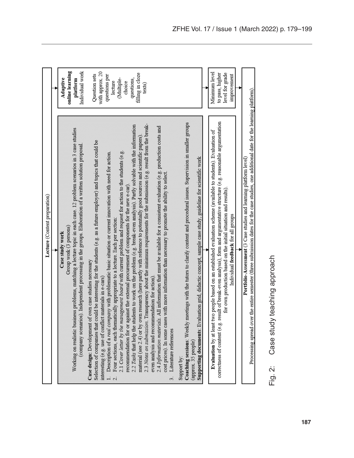| Lecture (Content preparation)                                                                                                                                                                                                                                                                                                                                                                                                                                                                                                                                                                                                                                                                                                                                                                                                                                                                                                                                                                                                                                                                                                                                                                                                                                                                                                                              |                                                                                                                                  |
|------------------------------------------------------------------------------------------------------------------------------------------------------------------------------------------------------------------------------------------------------------------------------------------------------------------------------------------------------------------------------------------------------------------------------------------------------------------------------------------------------------------------------------------------------------------------------------------------------------------------------------------------------------------------------------------------------------------------------------------------------------------------------------------------------------------------------------------------------------------------------------------------------------------------------------------------------------------------------------------------------------------------------------------------------------------------------------------------------------------------------------------------------------------------------------------------------------------------------------------------------------------------------------------------------------------------------------------------------------|----------------------------------------------------------------------------------------------------------------------------------|
|                                                                                                                                                                                                                                                                                                                                                                                                                                                                                                                                                                                                                                                                                                                                                                                                                                                                                                                                                                                                                                                                                                                                                                                                                                                                                                                                                            |                                                                                                                                  |
| Working on realistic business problems, matching a lecture topic in each case. 12 problem scenarios in 3 case studies<br>(company scenarios). Independent processing in the groups. Elaboration of a written solution proposal<br>Group work (3 persons)<br>Case study work                                                                                                                                                                                                                                                                                                                                                                                                                                                                                                                                                                                                                                                                                                                                                                                                                                                                                                                                                                                                                                                                                | online learning<br>Individual work<br><b>Adaptive</b><br>platform                                                                |
| 2.3 Notes on submission. Transparency about the minimum requirements for the submission (e.g. result from the break-<br>2.2 Tasks that help the students to work on the problem (e.g. break-even analysis). Partly solvable with the information<br>2.4 Information materials. All information that must be available for a consistent evaluation (e.g. production costs and<br>material (see $2.4$ ) or by own research (here partly with reference to potentially good sources and scientific papers).<br>Selection of companies that could be interesting for the students (e.g. as a future employer) and topics that could be<br>2.1 Cover letter by the management board with current problem and request for action to the students (e.g.<br>Description of a real company with problematic basic situation or current innovation with need for action.<br>cost prices). In some cases with more information than necessary to promote the ability to select.<br>recommendation for or against the external procurement of components for the new e-car)<br>Four sections, each thematically appropriate to a lecture. Each per section:<br>Case design: Development of own case studies necessary<br>even analysis and recommendation for action).<br>interesting (e.g. use of conflict materials in e-cars)<br>Literature references<br>$\vec{r}$ | with approx. 20<br>filling in cloze<br>Question sets<br>questions per<br>questions,<br>(Multiple-<br>lecture<br>choice<br>texts) |
| Coaching sessions: Weekly meetings with the tutors to clarify content and procedural issues. Supervision in smaller groups<br>Supporting documents: Evaluation grid, didactic concept, sample case study, guideline for scientific work<br>(approx. 35 people)<br>Support by:                                                                                                                                                                                                                                                                                                                                                                                                                                                                                                                                                                                                                                                                                                                                                                                                                                                                                                                                                                                                                                                                              |                                                                                                                                  |
| Evaluation by at least two people based on an established evaluation scheme (available to students). Evaluation of                                                                                                                                                                                                                                                                                                                                                                                                                                                                                                                                                                                                                                                                                                                                                                                                                                                                                                                                                                                                                                                                                                                                                                                                                                         | Minimum level                                                                                                                    |
| correctness of content (e.g. result of break-even analysis), form and argumentative structure (e.g. reasonable argumentation<br>for own production based on the initial situation and results)<br>Individual feedback for all groups                                                                                                                                                                                                                                                                                                                                                                                                                                                                                                                                                                                                                                                                                                                                                                                                                                                                                                                                                                                                                                                                                                                       | level for grade<br>to pass, higher<br>improvement                                                                                |
|                                                                                                                                                                                                                                                                                                                                                                                                                                                                                                                                                                                                                                                                                                                                                                                                                                                                                                                                                                                                                                                                                                                                                                                                                                                                                                                                                            |                                                                                                                                  |
| Processing spread over the entire semester (three submission dates for the case studies, one additional date for the learning platform).<br><b>Portfolio-Assessment</b> (3 Case studies and learning platform level)                                                                                                                                                                                                                                                                                                                                                                                                                                                                                                                                                                                                                                                                                                                                                                                                                                                                                                                                                                                                                                                                                                                                       |                                                                                                                                  |

Case study teaching approach Fig. 2: Case study teaching approachFig. 2: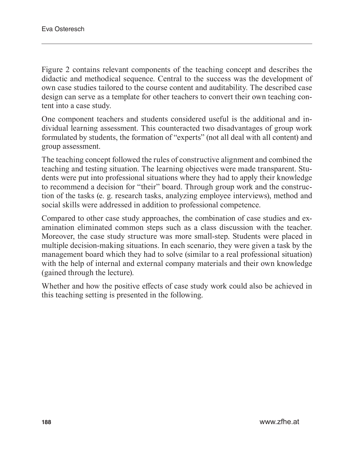Figure 2 contains relevant components of the teaching concept and describes the didactic and methodical sequence. Central to the success was the development of own case studies tailored to the course content and auditability. The described case design can serve as a template for other teachers to convert their own teaching content into a case study.

One component teachers and students considered useful is the additional and individual learning assessment. This counteracted two disadvantages of group work formulated by students, the formation of "experts" (not all deal with all content) and group assessment.

The teaching concept followed the rules of constructive alignment and combined the teaching and testing situation. The learning objectives were made transparent. Students were put into professional situations where they had to apply their knowledge to recommend a decision for "their" board. Through group work and the construction of the tasks (e. g. research tasks, analyzing employee interviews), method and social skills were addressed in addition to professional competence.

Compared to other case study approaches, the combination of case studies and examination eliminated common steps such as a class discussion with the teacher. Moreover, the case study structure was more small-step. Students were placed in multiple decision-making situations. In each scenario, they were given a task by the management board which they had to solve (similar to a real professional situation) with the help of internal and external company materials and their own knowledge (gained through the lecture).

Whether and how the positive effects of case study work could also be achieved in this teaching setting is presented in the following.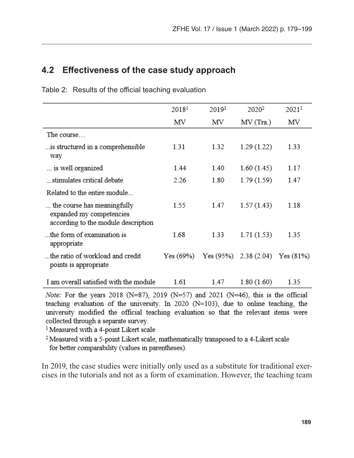#### **4.2 Effectiveness of the case study approach**

|                                                                                                | 20181     | 20191     | 2020 <sup>2</sup>        | 20211 |
|------------------------------------------------------------------------------------------------|-----------|-----------|--------------------------|-------|
|                                                                                                | ΜV        | ΜV        | MV (Tra.)                | ΜV    |
| The course                                                                                     |           |           |                          |       |
| is structured in a comprehensible<br>way                                                       | 1.31      | 1.32      | 1.29 (1.22)              | 1.33  |
| is well organized                                                                              | 1.44      | 1.40      | 1.60(1.45)               | 1.17  |
| stimulates critical debate                                                                     | 2.26      | 1.80      | 1.79 (1.59)              | 1.47  |
| Related to the entire module                                                                   |           |           |                          |       |
| the course has meaningfully<br>expanded my competencies<br>according to the module description | 1.55      | 1.47      | 1.57(1.43)               | 1.18  |
| the form of examination is<br>appropriate                                                      | 1.68      | 1.33      | 1.71(1.53)               | 1.35  |
| the ratio of workload and credit<br>points is appropriate                                      | Yes (69%) | Yes (95%) | $2.38(2.04)$ Yes $(81%)$ |       |
| I am overall satisfied with the module                                                         | 1.61      | 1.47      | 1.80(1.60)               | 1.35  |

Table 2: Results of the official teaching evaluation

*Note:* For the years 2018 (N=87), 2019 (N=57) and 2021 (N=46), this is the official teaching evaluation of the university. In 2020 (N=103), due to online teaching, the university modified the official teaching evaluation so that the relevant items were collected through a separate survey.

<sup>1</sup> Measured with a 4-point Likert scale

<sup>2</sup> Measured with a 5-point Likert scale, mathematically transposed to a 4-Likert scale for better comparability (values in parentheses).

In 2019, the case studies were initially only used as a substitute for traditional exercises in the tutorials and not as a form of examination. However, the teaching team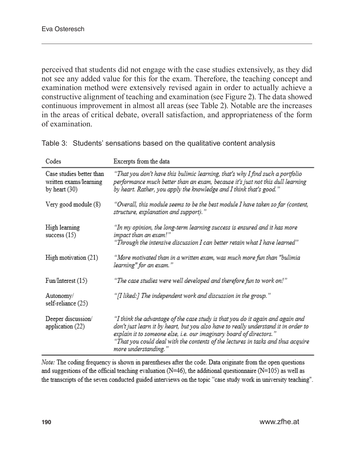perceived that students did not engage with the case studies extensively, as they did not see any added value for this for the exam. Therefore, the teaching concept and examination method were extensively revised again in order to actually achieve a constructive alignment of teaching and examination (see Figure 2). The data showed continuous improvement in almost all areas (see Table 2). Notable are the increases in the areas of critical debate, overall satisfaction, and appropriateness of the form of examination.

| Codes                                                                 | Excerpts from the data                                                                                                                                                                                                                                                                                                                                   |
|-----------------------------------------------------------------------|----------------------------------------------------------------------------------------------------------------------------------------------------------------------------------------------------------------------------------------------------------------------------------------------------------------------------------------------------------|
| Case studies better than<br>written exams/learning<br>by heart $(30)$ | "That you don't have this bulimic learning, that's why I find such a portfolio<br>performance much better than an exam, because it's just not this dull learning<br>by heart. Rather, you apply the knowledge and I think that's good."                                                                                                                  |
| Very good module (8)                                                  | "Overall, this module seems to be the best module I have taken so far (content,<br>structure, explanation and support)."                                                                                                                                                                                                                                 |
| High learning<br>success $(15)$                                       | "In my opinion, the long-term learning success is ensured and it has more<br>impact than an exam!"                                                                                                                                                                                                                                                       |
|                                                                       | "Through the intensive discussion I can better retain what I have learned"                                                                                                                                                                                                                                                                               |
| High motivation (21)                                                  | "More motivated than in a written exam, was much more fun than "bulimia<br>learning" for an exam."                                                                                                                                                                                                                                                       |
| Fun/Interest (15)                                                     | "The case studies were well developed and therefore fun to work on!"                                                                                                                                                                                                                                                                                     |
| Autonomy/<br>self-reliance (25)                                       | "[I liked:] The independent work and discussion in the group."                                                                                                                                                                                                                                                                                           |
| Deeper discussion/<br>application (22)                                | "I think the advantage of the case study is that you do it again and again and<br>don't just learn it by heart, but you also have to really understand it in order to<br>explain it to someone else, i.e. our imaginary board of directors."<br>"That vou could deal with the contents of the lectures in tasks and thus acquire<br>more understanding." |

Table 3: Students' sensations based on the qualitative content analysis

Note: The coding frequency is shown in parentheses after the code. Data originate from the open questions and suggestions of the official teaching evaluation  $(N=46)$ , the additional questionnaire  $(N=105)$  as well as the transcripts of the seven conducted guided interviews on the topic "case study work in university teaching".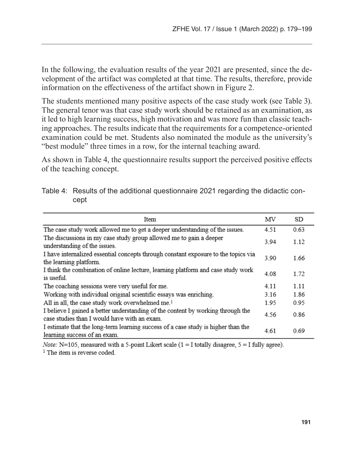In the following, the evaluation results of the year 2021 are presented, since the development of the artifact was completed at that time. The results, therefore, provide information on the effectiveness of the artifact shown in Figure 2.

The students mentioned many positive aspects of the case study work (see Table 3). The general tenor was that case study work should be retained as an examination, as it led to high learning success, high motivation and was more fun than classic teaching approaches. The results indicate that the requirements for a competence-oriented examination could be met. Students also nominated the module as the university's "best module" three times in a row, for the internal teaching award.

As shown in Table 4, the questionnaire results support the perceived positive effects of the teaching concept.

| Item                                                                                                                            | ΜV    | SD   |
|---------------------------------------------------------------------------------------------------------------------------------|-------|------|
| The case study work allowed me to get a deeper understanding of the issues.                                                     |       | 0.63 |
| The discussions in my case study group allowed me to gain a deeper<br>understanding of the issues.                              | 3 9 4 | 1.12 |
| I have internalized essential concepts through constant exposure to the topics via<br>the learning platform.                    | 3.90  | 1.66 |
| I think the combination of online lecture, learning platform and case study work<br>is useful.                                  | 4.08  | 1.72 |
| The coaching sessions were very useful for me.                                                                                  |       | 1.11 |
| Working with individual original scientific essays was enriching.                                                               | 3.16  | 1.86 |
| All in all, the case study work overwhelmed me. <sup>1</sup>                                                                    | 1.95  | 0.95 |
| I believe I gained a better understanding of the content by working through the<br>case studies than I would have with an exam. | 4.56  | 0.86 |
| I estimate that the long-term learning success of a case study is higher than the<br>learning success of an exam.               |       | 0.69 |

Table 4: Results of the additional questionnaire 2021 regarding the didactic concept

*Note:* N=105, measured with a 5-point Likert scale  $(1 = I$  totally disagree,  $5 = I$  fully agree). <sup>1</sup> The item is reverse coded.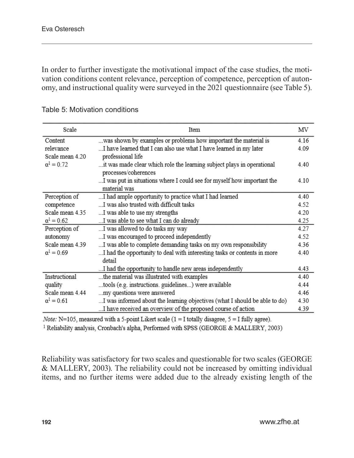In order to further investigate the motivational impact of the case studies, the motivation conditions content relevance, perception of competence, perception of autonomy, and instructional quality were surveyed in the 2021 questionnaire (see Table 5).

| Scale             | Item                                                                       | ΜV   |
|-------------------|----------------------------------------------------------------------------|------|
| Content           | was shown by examples or problems how important the material is            | 4.16 |
| relevance         | I have learned that I can also use what I have learned in my later         | 4.09 |
| Scale mean 4.20   | professional life                                                          |      |
| $\alpha^1 = 0.72$ | it was made clear which role the learning subject plays in operational     | 4.40 |
|                   | processes/coherences                                                       |      |
|                   | I was put in situations where I could see for myself how important the     | 4.10 |
|                   | material was                                                               |      |
| Perception of     | I had ample opportunity to practice what I had learned                     | 4.40 |
| competence        | I was also trusted with difficult tasks                                    | 4.52 |
| Scale mean 4.35   | I was able to use my strengths                                             | 4.20 |
| $\alpha^1 = 0.62$ | I was able to see what I can do already                                    | 4.25 |
| Perception of     | I was allowed to do tasks my way                                           | 4.27 |
| autonomy          | I was encouraged to proceed independently                                  | 4.52 |
| Scale mean 4.39   | I was able to complete demanding tasks on my own responsibility            | 4.36 |
| $\alpha^1 = 0.69$ | I had the opportunity to deal with interesting tasks or contents in more   | 4.40 |
|                   | detail                                                                     |      |
|                   | I had the opportunity to handle new areas independently                    | 4.43 |
| Instructional     | the material was illustrated with examples                                 | 4.40 |
| quality           | tools (e.g. instructions. guidelines) were available                       | 4.44 |
| Scale mean 4.44   | my questions were answered                                                 | 4.46 |
| $\alpha^1 = 0.61$ | I was informed about the learning objectives (what I should be able to do) | 4.30 |
|                   | I have received an overview of the proposed course of action               | 4.39 |

Table 5: Motivation conditions

*Note:* N=105, measured with a 5-point Likert scale  $(1 = I$  totally disagree,  $5 = I$  fully agree).

<sup>1</sup> Reliability analysis, Cronbach's alpha, Performed with SPSS (GEORGE & MALLERY, 2003)

Reliability was satisfactory for two scales and questionable for two scales (GEORGE & MALLERY, 2003). The reliability could not be increased by omitting individual items, and no further items were added due to the already existing length of the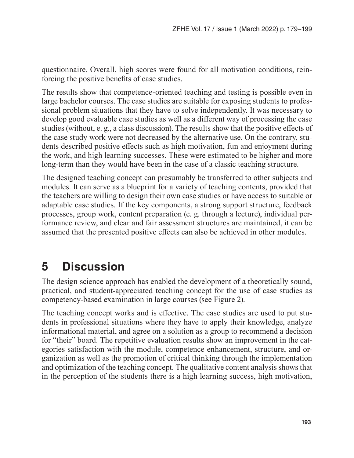questionnaire. Overall, high scores were found for all motivation conditions, reinforcing the positive benefits of case studies.

The results show that competence-oriented teaching and testing is possible even in large bachelor courses. The case studies are suitable for exposing students to professional problem situations that they have to solve independently. It was necessary to develop good evaluable case studies as well as a different way of processing the case studies (without, e. g., a class discussion). The results show that the positive effects of the case study work were not decreased by the alternative use. On the contrary, students described positive effects such as high motivation, fun and enjoyment during the work, and high learning successes. These were estimated to be higher and more long-term than they would have been in the case of a classic teaching structure.

The designed teaching concept can presumably be transferred to other subjects and modules. It can serve as a blueprint for a variety of teaching contents, provided that the teachers are willing to design their own case studies or have access to suitable or adaptable case studies. If the key components, a strong support structure, feedback processes, group work, content preparation (e. g. through a lecture), individual performance review, and clear and fair assessment structures are maintained, it can be assumed that the presented positive effects can also be achieved in other modules.

## **5 Discussion**

The design science approach has enabled the development of a theoretically sound, practical, and student-appreciated teaching concept for the use of case studies as competency-based examination in large courses (see Figure 2).

The teaching concept works and is effective. The case studies are used to put students in professional situations where they have to apply their knowledge, analyze informational material, and agree on a solution as a group to recommend a decision for "their" board. The repetitive evaluation results show an improvement in the categories satisfaction with the module, competence enhancement, structure, and organization as well as the promotion of critical thinking through the implementation and optimization of the teaching concept. The qualitative content analysis shows that in the perception of the students there is a high learning success, high motivation,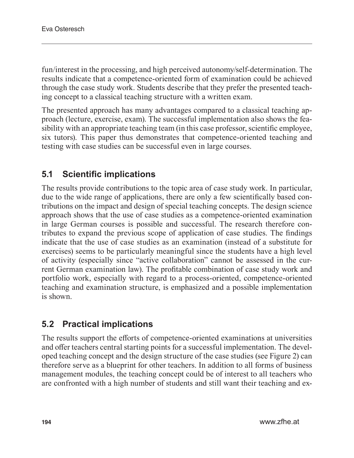fun/interest in the processing, and high perceived autonomy/self-determination. The results indicate that a competence-oriented form of examination could be achieved through the case study work. Students describe that they prefer the presented teaching concept to a classical teaching structure with a written exam.

The presented approach has many advantages compared to a classical teaching approach (lecture, exercise, exam). The successful implementation also shows the feasibility with an appropriate teaching team (in this case professor, scientific employee, six tutors). This paper thus demonstrates that competence-oriented teaching and testing with case studies can be successful even in large courses.

### **5.1 Scientific implications**

The results provide contributions to the topic area of case study work. In particular, due to the wide range of applications, there are only a few scientifically based contributions on the impact and design of special teaching concepts. The design science approach shows that the use of case studies as a competence-oriented examination in large German courses is possible and successful. The research therefore contributes to expand the previous scope of application of case studies. The findings indicate that the use of case studies as an examination (instead of a substitute for exercises) seems to be particularly meaningful since the students have a high level of activity (especially since "active collaboration" cannot be assessed in the current German examination law). The profitable combination of case study work and portfolio work, especially with regard to a process-oriented, competence-oriented teaching and examination structure, is emphasized and a possible implementation is shown.

### **5.2 Practical implications**

The results support the efforts of competence-oriented examinations at universities and offer teachers central starting points for a successful implementation. The developed teaching concept and the design structure of the case studies (see Figure 2) can therefore serve as a blueprint for other teachers. In addition to all forms of business management modules, the teaching concept could be of interest to all teachers who are confronted with a high number of students and still want their teaching and ex-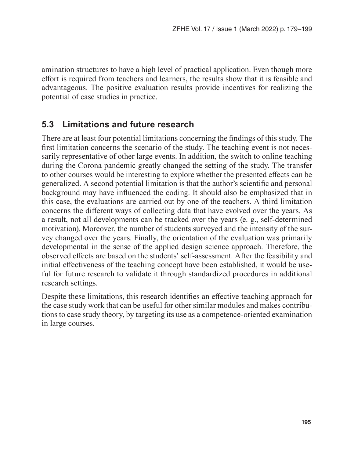amination structures to have a high level of practical application. Even though more effort is required from teachers and learners, the results show that it is feasible and advantageous. The positive evaluation results provide incentives for realizing the potential of case studies in practice.

#### **5.3 Limitations and future research**

There are at least four potential limitations concerning the findings of this study. The first limitation concerns the scenario of the study. The teaching event is not necessarily representative of other large events. In addition, the switch to online teaching during the Corona pandemic greatly changed the setting of the study. The transfer to other courses would be interesting to explore whether the presented effects can be generalized. A second potential limitation is that the author's scientific and personal background may have influenced the coding. It should also be emphasized that in this case, the evaluations are carried out by one of the teachers. A third limitation concerns the different ways of collecting data that have evolved over the years. As a result, not all developments can be tracked over the years (e. g., self-determined motivation). Moreover, the number of students surveyed and the intensity of the survey changed over the years. Finally, the orientation of the evaluation was primarily developmental in the sense of the applied design science approach. Therefore, the observed effects are based on the students' self-assessment. After the feasibility and initial effectiveness of the teaching concept have been established, it would be useful for future research to validate it through standardized procedures in additional research settings.

Despite these limitations, this research identifies an effective teaching approach for the case study work that can be useful for other similar modules and makes contributions to case study theory, by targeting its use as a competence-oriented examination in large courses.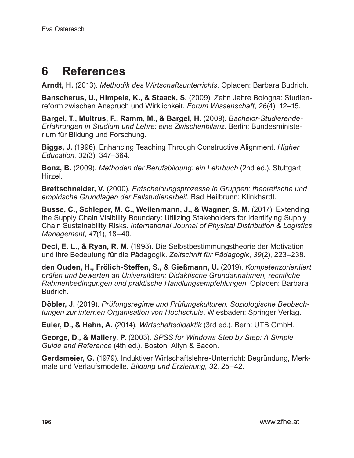## **6 References**

**Arndt, H.** (2013). *Methodik des Wirtschaftsunterrichts*. Opladen: Barbara Budrich.

**Banscherus, U., Himpele, K., & Staack, S.** (2009). Zehn Jahre Bologna: Studienreform zwischen Anspruch und Wirklichkeit. *Forum Wissenschaft*, *26*(4), 12–15.

**Bargel, T., Multrus, F., Ramm, M., & Bargel, H.** (2009). *Bachelor-Studierende-Erfahrungen in Studium und Lehre: eine Zwischenbilanz*. Berlin: Bundesministerium für Bildung und Forschung.

**Biggs, J.** (1996). Enhancing Teaching Through Constructive Alignment. *Higher Education*, *32*(3), 347–364.

**Bonz, B.** (2009). *Methoden der Berufsbildung: ein Lehrbuch* (2nd ed.). Stuttgart: Hirzel.

**Brettschneider, V.** (2000). *Entscheidungsprozesse in Gruppen: theoretische und empirische Grundlagen der Fallstudienarbeit*. Bad Heilbrunn: Klinkhardt.

**Busse, C., Schleper, M. C., Weilenmann, J., & Wagner, S. M.** (2017). Extending the Supply Chain Visibility Boundary: Utilizing Stakeholders for Identifying Supply Chain Sustainability Risks. *International Journal of Physical Distribution & Logistics Management*, *47*(1), 18–40.

**Deci, E. L., & Ryan, R. M.** (1993). Die Selbstbestimmungstheorie der Motivation und ihre Bedeutung für die Pädagogik. *Zeitschrift für Pädagogik*, *39*(2), 223–238.

**den Ouden, H., Frölich-Steffen, S., & Gießmann, U.** (2019). *Kompetenzorientiert prüfen und bewerten an Universitäten: Didaktische Grundannahmen, rechtliche Rahmenbedingungen und praktische Handlungsempfehlungen*. Opladen: Barbara Budrich.

**Döbler, J.** (2019). *Prüfungsregime und Prüfungskulturen. Soziologische Beobachtungen zur internen Organisation von Hochschule*. Wiesbaden: Springer Verlag.

**Euler, D., & Hahn, A.** (2014). *Wirtschaftsdidaktik* (3rd ed.). Bern: UTB GmbH.

**George, D., & Mallery, P.** (2003). *SPSS for Windows Step by Step: A Simple Guide and Reference* (4th ed.). Boston: Allyn & Bacon.

**Gerdsmeier, G.** (1979). Induktiver Wirtschaftslehre-Unterricht: Begründung, Merkmale und Verlaufsmodelle. *Bildung und Erziehung*, *32*, 25–42.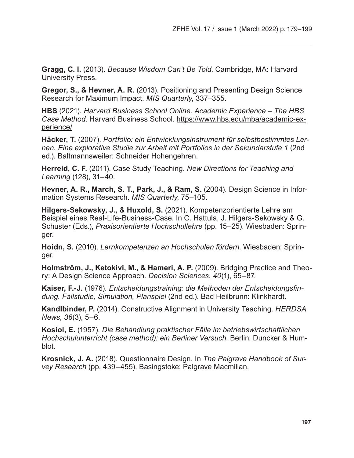**Gragg, C. I.** (2013). *Because Wisdom Can't Be Told*. Cambridge, MA: Harvard University Press.

**Gregor, S., & Hevner, A. R.** (2013). Positioning and Presenting Design Science Research for Maximum Impact. *MIS Quarterly*, 337–355.

**HBS** (2021). *Harvard Business School Online. Academic Experience – The HBS Case Method*. Harvard Business School. https://www.hbs.edu/mba/academic-experience/

**Häcker, T.** (2007). *Portfolio: ein Entwicklungsinstrument für selbstbestimmtes Lernen. Eine explorative Studie zur Arbeit mit Portfolios in der Sekundarstufe 1* (2nd ed.). Baltmannsweiler: Schneider Hohengehren.

**Herreid, C. F.** (2011). Case Study Teaching. *New Directions for Teaching and Learning* (128), 31–40.

**Hevner, A. R., March, S. T., Park, J., & Ram, S.** (2004). Design Science in Information Systems Research. *MIS Quarterly*, 75–105.

**Hilgers-Sekowsky, J., & Huxold, S.** (2021). Kompetenzorientierte Lehre am Beispiel eines Real-Life-Business-Case. In C. Hattula, J. Hilgers-Sekowsky & G. Schuster (Eds.), *Praxisorientierte Hochschullehre* (pp. 15–25). Wiesbaden: Springer.

**Hoidn, S.** (2010). *Lernkompetenzen an Hochschulen fördern*. Wiesbaden: Springer.

**Holmström, J., Ketokivi, M., & Hameri, A. P.** (2009). Bridging Practice and Theory: A Design Science Approach. *Decision Sciences*, *40*(1), 65–87.

**Kaiser, F.-J.** (1976). *Entscheidungstraining: die Methoden der Entscheidungsfindung. Fallstudie, Simulation, Planspiel* (2nd ed.). Bad Heilbrunn: Klinkhardt.

**Kandlbinder, P.** (2014). Constructive Alignment in University Teaching. *HERDSA News*, *36*(3), 5–6.

**Kosiol, E.** (1957). *Die Behandlung praktischer Fälle im betriebswirtschaftlichen Hochschulunterricht (case method): ein Berliner Versuch*. Berlin: Duncker & Humblot.

**Krosnick, J. A.** (2018). Questionnaire Design. In *The Palgrave Handbook of Survey Research* (pp. 439–455). Basingstoke: Palgrave Macmillan.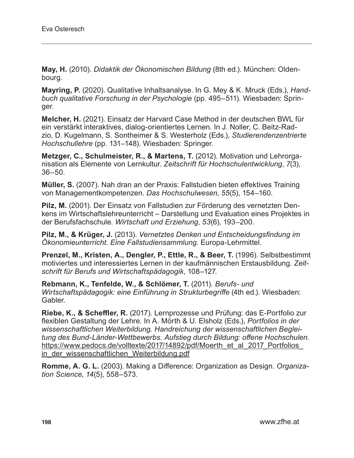**May, H.** (2010). *Didaktik der Ökonomischen Bildung* (8th ed.). München: Oldenbourg.

**Mayring, P.** (2020). Qualitative Inhaltsanalyse. In G. Mey & K. Mruck (Eds.), *Handbuch qualitative Forschung in der Psychologie* (pp. 495–511). Wiesbaden: Springer.

**Melcher, H.** (2021). Einsatz der Harvard Case Method in der deutschen BWL für ein verstärkt interaktives, dialog-orientiertes Lernen. In J. Noller, C. Beitz-Radzio, D. Kugelmann, S. Sontheimer & S. Westerholz (Eds.), *Studierendenzentrierte Hochschullehre* (pp. 131–148). Wiesbaden: Springer.

**Metzger, C., Schulmeister, R., & Martens, T.** (2012). Motivation und Lehrorganisation als Elemente von Lernkultur. *Zeitschrift für Hochschulentwicklung*, *7*(3), 36–50.

**Müller, S.** (2007). Nah dran an der Praxis: Fallstudien bieten effektives Training von Managementkompetenzen. *Das Hochschulwesen*, *55*(5), 154–160.

**Pilz, M.** (2001). Der Einsatz von Fallstudien zur Förderung des vernetzten Denkens im Wirtschaftslehreunterricht – Darstellung und Evaluation eines Projektes in der Berufsfachschule*. Wirtschaft und Erziehung*, *53*(6), 193–200.

**Pilz, M., & Krüger, J.** (2013). *Vernetztes Denken und Entscheidungsfindung im Ökonomieunterricht. Eine Fallstudiensammlung.* Europa-Lehrmittel.

**Prenzel, M., Kristen, A., Dengler, P., Ettle, R., & Beer, T.** (1996). Selbstbestimmt motiviertes und interessiertes Lernen in der kaufmännischen Erstausbildung. *Zeitschrift für Berufs und Wirtschaftspädagogik*, 108–127.

**Rebmann, K., Tenfelde, W., & Schlömer, T.** (2011). *Berufs- und Wirtschaftspädagogik: eine Einführung in Strukturbegriffe* (4th ed.). Wiesbaden: Gabler.

**Riebe, K., & Scheffler, R.** (2017). Lernprozesse und Prüfung: das E-Portfolio zur flexiblen Gestaltung der Lehre. In A. Mörth & U. Elsholz (Eds.), *Portfolios in der wissenschaftlichen Weiterbildung. Handreichung der wissenschaftlichen Begleitung des Bund-Länder-Wettbewerbs. Aufstieg durch Bildung: offene Hochschulen*. https://www.pedocs.de/volltexte/2017/14892/pdf/Moerth\_et\_al\_2017\_Portfolios\_ in der wissenschaftlichen Weiterbildung.pdf

**Romme, A. G. L.** (2003). Making a Difference: Organization as Design. *Organization Science*, *14*(5), 558–573.